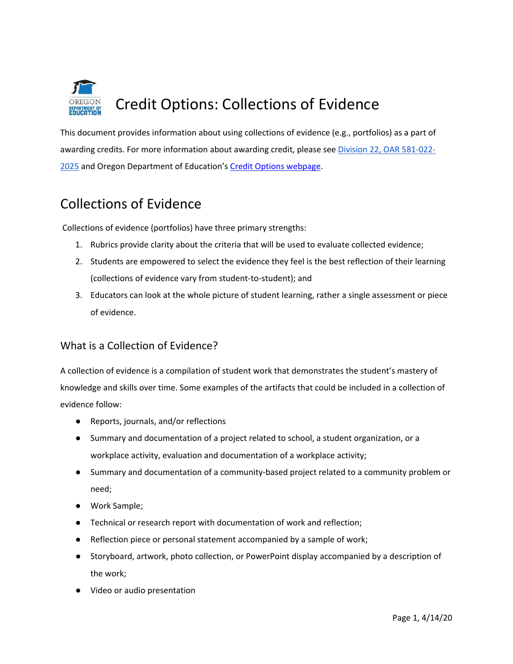

This document provides information about using collections of evidence (e.g., portfolios) as a part of awarding credits. For more information about awarding credit, please see [D](https://secure.sos.state.or.us/oard/viewSingleRule.action?ruleVrsnRsn=145206)ivision 22, OAR 581-022- 2025 and Oregon Department of Education's [Credit Options webpage.](https://www.oregon.gov/ode/students-and-family/OregonDiploma/Pages/Credit-Options.aspx)

# Collections of Evidence

Collections of evidence (portfolios) have three primary strengths:

- 1. Rubrics provide clarity about the criteria that will be used to evaluate collected evidence;
- 2. Students are empowered to select the evidence they feel is the best reflection of their learning (collections of evidence vary from student-to-student); and
- 3. Educators can look at the whole picture of student learning, rather a single assessment or piece of evidence.

## What is a Collection of Evidence?

A collection of evidence is a compilation of student work that demonstrates the student's mastery of knowledge and skills over time. Some examples of the artifacts that could be included in a collection of evidence follow:

- Reports, journals, and/or reflections
- Summary and documentation of a project related to school, a student organization, or a workplace activity, evaluation and documentation of a workplace activity;
- Summary and documentation of a community-based project related to a community problem or need;
- Work Sample;
- Technical or research report with documentation of work and reflection;
- Reflection piece or personal statement accompanied by a sample of work;
- Storyboard, artwork, photo collection, or PowerPoint display accompanied by a description of the work;
- Video or audio presentation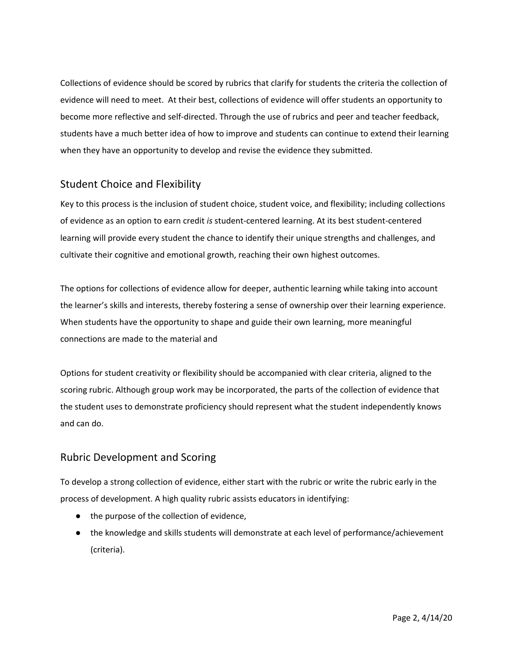Collections of evidence should be scored by rubrics that clarify for students the criteria the collection of evidence will need to meet. At their best, collections of evidence will offer students an opportunity to become more reflective and self-directed. Through the use of rubrics and peer and teacher feedback, students have a much better idea of how to improve and students can continue to extend their learning when they have an opportunity to develop and revise the evidence they submitted.

## Student Choice and Flexibility

Key to this process is the inclusion of student choice, student voice, and flexibility; including collections of evidence as an option to earn credit *is* student-centered learning. At its best student-centered learning will provide every student the chance to identify their unique strengths and challenges, and cultivate their cognitive and emotional growth, reaching their own highest outcomes.

The options for collections of evidence allow for deeper, authentic learning while taking into account the learner's skills and interests, thereby fostering a sense of ownership over their learning experience. When students have the opportunity to shape and guide their own learning, more meaningful connections are made to the material and

Options for student creativity or flexibility should be accompanied with clear criteria, aligned to the scoring rubric. Although group work may be incorporated, the parts of the collection of evidence that the student uses to demonstrate proficiency should represent what the student independently knows and can do.

#### Rubric Development and Scoring

To develop a strong collection of evidence, either start with the rubric or write the rubric early in the process of development. A high quality rubric assists educators in identifying:

- the purpose of the collection of evidence,
- the knowledge and skills students will demonstrate at each level of performance/achievement (criteria).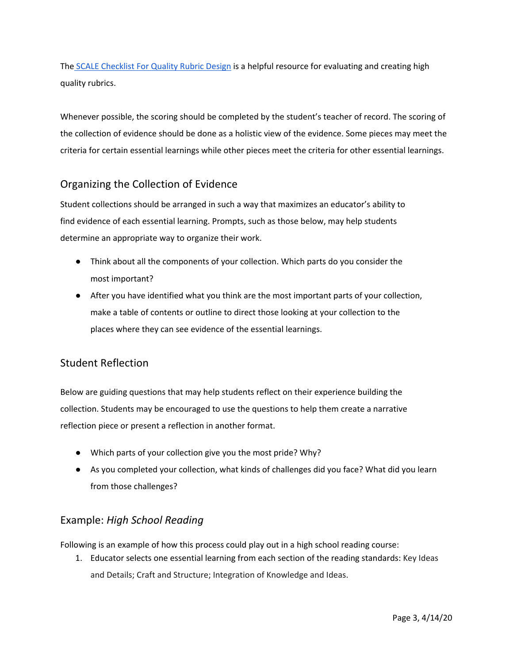The [SCALE Checklist For Quality Rubric Design](http://www.performanceassessmentresourcebank.org/system/files/SCALE%20Quality%20Rubric%20Checklist.docx.pdf) is a helpful resource for evaluating and creating high quality rubrics.

Whenever possible, the scoring should be completed by the student's teacher of record. The scoring of the collection of evidence should be done as a holistic view of the evidence. Some pieces may meet the criteria for certain essential learnings while other pieces meet the criteria for other essential learnings.

## Organizing the Collection of Evidence

Student collections should be arranged in such a way that maximizes an educator's ability to find evidence of each essential learning. Prompts, such as those below, may help students determine an appropriate way to organize their work.

- Think about all the components of your collection. Which parts do you consider the most important?
- After you have identified what you think are the most important parts of your collection, make a table of contents or outline to direct those looking at your collection to the places where they can see evidence of the essential learnings.

## Student Reflection

Below are guiding questions that may help students reflect on their experience building the collection. Students may be encouraged to use the questions to help them create a narrative reflection piece or present a reflection in another format.

- Which parts of your collection give you the most pride? Why?
- As you completed your collection, what kinds of challenges did you face? What did you learn from those challenges?

## Example: *High School Reading*

Following is an example of how this process could play out in a high school reading course:

1. Educator selects one essential learning from each section of the reading standards: Key Ideas and Details; Craft and Structure; Integration of Knowledge and Ideas.